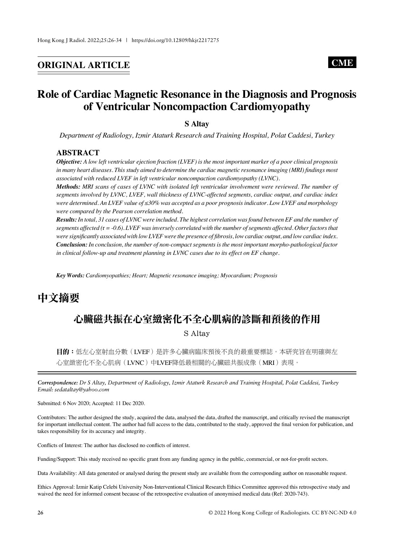# **ORIGINAL ARTICLE CME**

# **Role of Cardiac Magnetic Resonance in the Diagnosis and Prognosis of Ventricular Noncompaction Cardiomyopathy**

**S Altay**

*Department of Radiology, Izmir Ataturk Research and Training Hospital, Polat Caddesi, Turkey*

### **ABSTRACT**

*Objective: A low left ventricular ejection fraction (LVEF) is the most important marker of a poor clinical prognosis in many heart diseases. This study aimed to determine the cardiac magnetic resonance imaging (MRI) findings most associated with reduced LVEF in left ventricular noncompaction cardiomyopathy (LVNC).*

*Methods: MRI scans of cases of LVNC with isolated left ventricular involvement were reviewed. The number of segments involved by LVNC, LVEF, wall thickness of LVNC-affected segments, cardiac output, and cardiac index were determined. An LVEF value of ≤30% was accepted as a poor prognosis indicator. Low LVEF and morphology were compared by the Pearson correlation method.*

*Results: In total, 31 cases of LVNC were included. The highest correlation was found between EF and the number of segments affected (*r *= -0.6). LVEF was inversely correlated with the number of segments affected. Other factors that were significantly associated with low LVEF were the presence of fibrosis, low cardiac output, and low cardiac index. Conclusion: In conclusion, the number of non-compact segments is the most important morpho-pathological factor in clinical follow-up and treatment planning in LVNC cases due to its effect on EF change.*

*Key Words: Cardiomyopathies; Heart; Magnetic resonance imaging; Myocardium; Prognosis*

# 中文摘要

# 心臟磁共振在心室緻密化不全心肌病的診斷和預後的作用 S Altay

目的:低左心室射血分數(LVEF)是許多心臟病臨床預後不良的最重要標誌。本研究旨在明確與左 心室緻密化不全心肌病(LVNC)中LVEF降低最相關的心臟磁共振成像(MRI)表現。

*Correspondence: Dr S Altay, Department of Radiology, Izmir Ataturk Research and Training Hospital, Polat Caddesi, Turkey Email: sedataltay@yahoo.com*

Submitted: 6 Nov 2020; Accepted: 11 Dec 2020.

Contributors: The author designed the study, acquired the data, analysed the data, drafted the manuscript, and critically revised the manuscript for important intellectual content. The author had full access to the data, contributed to the study, approved the final version for publication, and takes responsibility for its accuracy and integrity.

Conflicts of Interest: The author has disclosed no conflicts of interest.

Funding/Support: This study received no specific grant from any funding agency in the public, commercial, or not-for-profit sectors.

Data Availability: All data generated or analysed during the present study are available from the corresponding author on reasonable request.

Ethics Approval: Izmir Katip Celebi University Non-Interventional Clinical Research Ethics Committee approved this retrospective study and waived the need for informed consent because of the retrospective evaluation of anonymised medical data (Ref: 2020-743).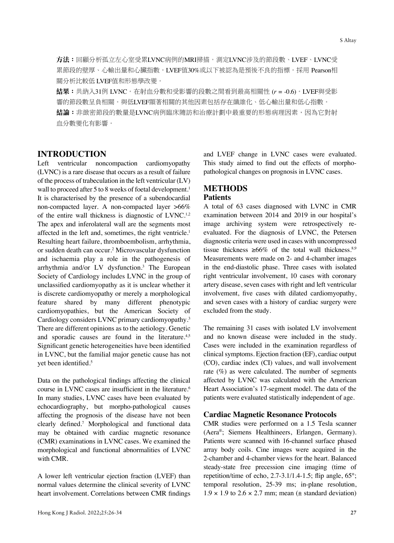方法:回顧分析孤立左心室受累LVNC病例的MRI掃描。測定LVNC涉及的節段數、LVEF、LVNC受 累節段的壁厚、心輸出量和心臟指數。LVEF值30%或以下被認為是預後不良的指標。採用 Pearson相 關分析比較低 LVEF值和形態學改變。

結果:共納入31例 LVNC。在射血分數和受影響的段數之間看到最高相關性 (*r* = -0.6)。LVEF與受影 響的節段數呈負相關。與低LVEF顯著相關的其他因素包括存在纖維化、低心輸出量和低心指數。 結論:非緻密節段的數量是LVNC病例臨床隨訪和治療計劃中最重要的形態病理因素,因為它對射 血分數變化有影響。

# **INTRODUCTION**

Left ventricular noncompaction cardiomyopathy (LVNC) is a rare disease that occurs as a result of failure of the process of trabeculation in the left ventricular (LV) wall to proceed after 5 to 8 weeks of foetal development.<sup>1</sup> It is characterised by the presence of a subendocardial non-compacted layer. A non-compacted layer >66% of the entire wall thickness is diagnostic of LVNC.<sup>1,2</sup> The apex and inferolateral wall are the segments most affected in the left and, sometimes, the right ventricle.<sup>1</sup> Resulting heart failure, thromboembolism, arrhythmia, or sudden death can occur.2 Microvascular dysfunction and ischaemia play a role in the pathogenesis of arrhythmia and/or LV dysfunction.3 The European Society of Cardiology includes LVNC in the group of unclassified cardiomyopathy as it is unclear whether it is discrete cardiomyopathy or merely a morphological feature shared by many different phenotypic cardiomyopathies, but the American Society of Cardiology considers LVNC primary cardiomyopathy.3 There are different opinions as to the aetiology. Genetic and sporadic causes are found in the literature.<sup>4,5</sup> Significant genetic heterogeneities have been identified in LVNC, but the familial major genetic cause has not yet been identified.<sup>5</sup>

Data on the pathological findings affecting the clinical course in LVNC cases are insufficient in the literature.<sup>6</sup> In many studies, LVNC cases have been evaluated by echocardiography, but morpho-pathological causes affecting the prognosis of the disease have not been clearly defined.<sup>7</sup> Morphological and functional data may be obtained with cardiac magnetic resonance (CMR) examinations in LVNC cases. We examined the morphological and functional abnormalities of LVNC with CMR.

A lower left ventricular ejection fraction (LVEF) than normal values determine the clinical severity of LVNC heart involvement. Correlations between CMR findings and LVEF change in LVNC cases were evaluated. This study aimed to find out the effects of morphopathological changes on prognosis in LVNC cases.

## **METHODS Patients**

A total of 63 cases diagnosed with LVNC in CMR examination between 2014 and 2019 in our hospital's image archiving system were retrospectively reevaluated. For the diagnosis of LVNC, the Petersen diagnostic criteria were used in cases with uncompressed tissue thickness  $\geq 66\%$  of the total wall thickness.<sup>8,9</sup> Measurements were made on 2- and 4-chamber images in the end-diastolic phase. Three cases with isolated right ventricular involvement, 10 cases with coronary artery disease, seven cases with right and left ventricular involvement, five cases with dilated cardiomyopathy, and seven cases with a history of cardiac surgery were excluded from the study.

The remaining 31 cases with isolated LV involvement and no known disease were included in the study. Cases were included in the examination regardless of clinical symptoms. Ejection fraction (EF), cardiac output (CO), cardiac index (CI) values, and wall involvement rate  $(\%)$  as were calculated. The number of segments affected by LVNC was calculated with the American Heart Association's 17-segment model. The data of the patients were evaluated statistically independent of age.

#### **Cardiac Magnetic Resonance Protocols**

CMR studies were performed on a 1.5 Tesla scanner (Aera®; Siemens Healthineers, Erlangen, Germany). Patients were scanned with 16-channel surface phased array body coils. Cine images were acquired in the 2-chamber and 4-chamber views for the heart. Balanced steady-state free precession cine imaging (time of repetition/time of echo,  $2.7 - 3.1/1.4 - 1.5$ ; flip angle,  $65^\circ$ ; temporal resolution, 25-39 ms; in-plane resolution,  $1.9 \times 1.9$  to  $2.6 \times 2.7$  mm; mean ( $\pm$  standard deviation)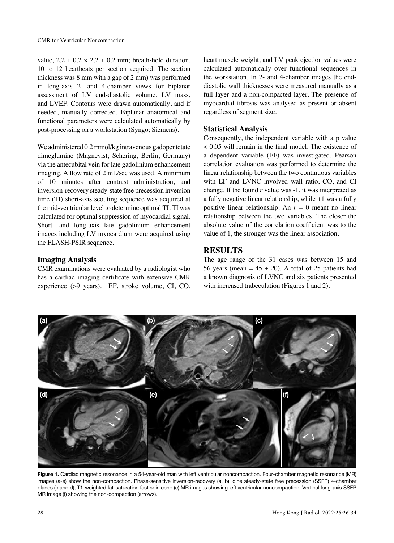value,  $2.2 \pm 0.2 \times 2.2 \pm 0.2$  mm; breath-hold duration, 10 to 12 heartbeats per section acquired. The section thickness was 8 mm with a gap of 2 mm) was performed in long-axis 2- and 4-chamber views for biplanar assessment of LV end-diastolic volume, LV mass, and LVEF. Contours were drawn automatically, and if needed, manually corrected. Biplanar anatomical and functional parameters were calculated automatically by post-processing on a workstation (Syngo; Siemens).

We administered 0.2 mmol/kg intravenous gadopentetate dimeglumine (Magnevist; Schering, Berlin, Germany) via the antecubital vein for late gadolinium enhancement imaging. A flow rate of 2 mL/sec was used. A minimum of 10 minutes after contrast administration, and inversion-recovery steady-state free precession inversion time (TI) short-axis scouting sequence was acquired at the mid-ventricular level to determine optimal TI. TI was calculated for optimal suppression of myocardial signal. Short- and long-axis late gadolinium enhancement images including LV myocardium were acquired using the FLASH-PSIR sequence.

#### **Imaging Analysis**

CMR examinations were evaluated by a radiologist who has a cardiac imaging certificate with extensive CMR experience (>9 years). EF, stroke volume, CI, CO, heart muscle weight, and LV peak ejection values were calculated automatically over functional sequences in the workstation. In 2- and 4-chamber images the enddiastolic wall thicknesses were measured manually as a full layer and a non-compacted layer. The presence of myocardial fibrosis was analysed as present or absent regardless of segment size.

#### **Statistical Analysis**

Consequently, the independent variable with a p value < 0.05 will remain in the final model. The existence of a dependent variable (EF) was investigated. Pearson correlation evaluation was performed to determine the linear relationship between the two continuous variables with EF and LVNC involved wall ratio, CO, and CI change. If the found *r* value was -1, it was interpreted as a fully negative linear relationship, while +1 was a fully positive linear relationship. An  $r = 0$  meant no linear relationship between the two variables. The closer the absolute value of the correlation coefficient was to the value of 1, the stronger was the linear association.

### **RESULTS**

The age range of the 31 cases was between 15 and 56 years (mean =  $45 \pm 20$ ). A total of 25 patients had a known diagnosis of LVNC and six patients presented with increased trabeculation (Figures 1 and 2).



**Figure 1.** Cardiac magnetic resonance in a 54-year-old man with left ventricular noncompaction. Four-chamber magnetic resonance (MR) images (a-e) show the non-compaction. Phase-sensitive inversion-recovery (a, b), cine steady-state free precession (SSFP) 4-chamber planes (c and d), T1-weighted fat-saturation fast spin echo (e) MR images showing left ventricular noncompaction. Vertical long-axis SSFP MR image (f) showing the non-compaction (arrows).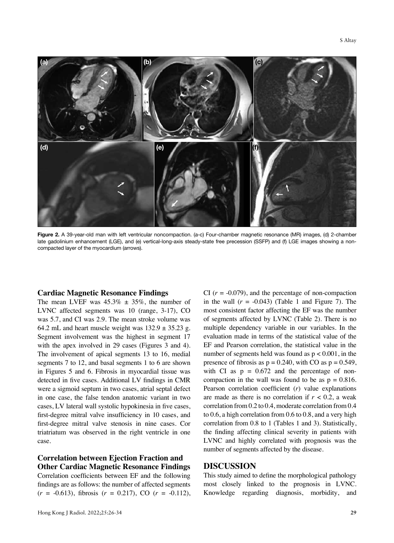

**Figure 2.** A 39-year-old man with left ventricular noncompaction. (a-c) Four-chamber magnetic resonance (MR) images, (d) 2-chamber late gadolinium enhancement (LGE), and (e) vertical-long-axis steady-state free precession (SSFP) and (f) LGE images showing a noncompacted layer of the myocardium (arrows).

#### **Cardiac Magnetic Resonance Findings**

The mean LVEF was  $45.3\% \pm 35\%$ , the number of LVNC affected segments was 10 (range, 3-17), CO was 5.7, and CI was 2.9. The mean stroke volume was 64.2 mL and heart muscle weight was  $132.9 \pm 35.23$  g. Segment involvement was the highest in segment 17 with the apex involved in 29 cases (Figures 3 and 4). The involvement of apical segments 13 to 16, medial segments 7 to 12, and basal segments 1 to 6 are shown in Figures 5 and 6. Fibrosis in myocardial tissue was detected in five cases. Additional LV findings in CMR were a sigmoid septum in two cases, atrial septal defect in one case, the false tendon anatomic variant in two cases, LV lateral wall systolic hypokinesia in five cases, first-degree mitral valve insufficiency in 10 cases, and first-degree mitral valve stenosis in nine cases. Cor triatriatum was observed in the right ventricle in one case.

## **Correlation between Ejection Fraction and Other Cardiac Magnetic Resonance Findings**

Correlation coefficients between EF and the following findings are as follows: the number of affected segments (*r* = -0.613), fibrosis (*r* = 0.217), CO (*r* = -0.112), CI  $(r = -0.079)$ , and the percentage of non-compaction in the wall  $(r = -0.043)$  (Table 1 and Figure 7). The most consistent factor affecting the EF was the number of segments affected by LVNC (Table 2). There is no multiple dependency variable in our variables. In the evaluation made in terms of the statistical value of the EF and Pearson correlation, the statistical value in the number of segments held was found as  $p < 0.001$ , in the presence of fibrosis as  $p = 0.240$ , with CO as  $p = 0.549$ , with CI as  $p = 0.672$  and the percentage of noncompaction in the wall was found to be as  $p = 0.816$ . Pearson correlation coefficient (*r*) value explanations are made as there is no correlation if  $r < 0.2$ , a weak correlation from 0.2 to 0.4, moderate correlation from 0.4 to 0.6, a high correlation from 0.6 to 0.8, and a very high correlation from 0.8 to 1 (Tables 1 and 3). Statistically, the finding affecting clinical severity in patients with LVNC and highly correlated with prognosis was the number of segments affected by the disease.

#### **DISCUSSION**

This study aimed to define the morphological pathology most closely linked to the prognosis in LVNC. Knowledge regarding diagnosis, morbidity, and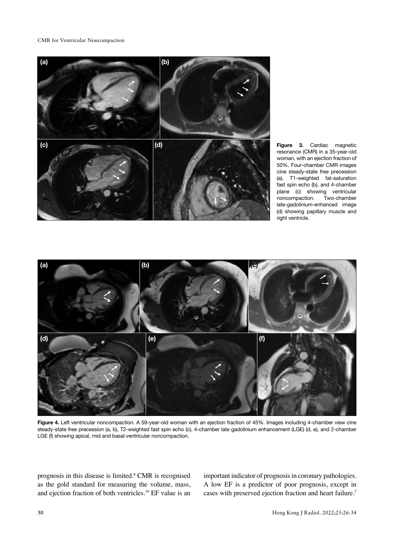CMR for Ventricular Noncompaction



**Figure 3.** Cardiac magnetic resonance (CMR) in a 35-year-old woman, with an ejection fraction of 50%. Four-chamber CMR images cine steady-state free precession (a), T1-weighted fat-saturation fast spin echo (b), and 4-chamber plane (c) showing ventricular noncompaction. Two-chamber late-gadolinium-enhanced image (d) showing papillary muscle and right ventricle.



**Figure 4.** Left ventricular noncompaction. A 59-year-old woman with an ejection fraction of 45%. Images including 4-chamber view cine steady-state free precession (a, b), T2-weighted fast spin echo (c), 4-chamber late gadolinium enhancement (LGE) (d, e), and 2-chamber LGE (f) showing apical, mid and basal ventricular noncompaction.

prognosis in this disease is limited.8 CMR is recognised as the gold standard for measuring the volume, mass, and ejection fraction of both ventricles.<sup>10</sup> EF value is an important indicator of prognosis in coronary pathologies. A low EF is a predictor of poor prognosis, except in cases with preserved ejection fraction and heart failure.7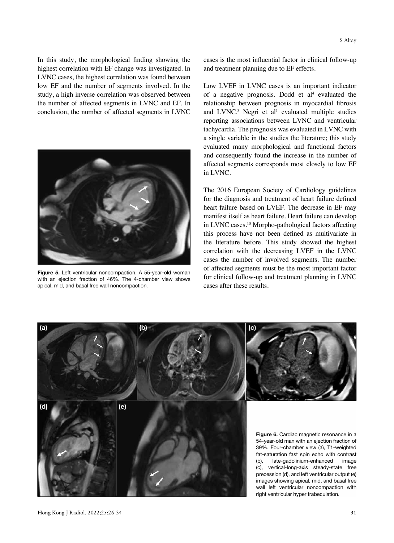In this study, the morphological finding showing the highest correlation with EF change was investigated. In LVNC cases, the highest correlation was found between low EF and the number of segments involved. In the study, a high inverse correlation was observed between the number of affected segments in LVNC and EF. In conclusion, the number of affected segments in LVNC



**Figure 5.** Left ventricular noncompaction. A 55-year-old woman with an ejection fraction of 46%. The 4-chamber view shows apical, mid, and basal free wall noncompaction.

cases is the most influential factor in clinical follow-up and treatment planning due to EF effects.

Low LVEF in LVNC cases is an important indicator of a negative prognosis. Dodd et  $al<sup>4</sup>$  evaluated the relationship between prognosis in myocardial fibrosis and  $LVMC<sup>3</sup>$  Negri et al<sup>1</sup> evaluated multiple studies reporting associations between LVNC and ventricular tachycardia. The prognosis was evaluated in LVNC with a single variable in the studies the literature; this study evaluated many morphological and functional factors and consequently found the increase in the number of affected segments corresponds most closely to low EF in LVNC.

The 2016 European Society of Cardiology guidelines for the diagnosis and treatment of heart failure defined heart failure based on LVEF. The decrease in EF may manifest itself as heart failure. Heart failure can develop in LVNC cases.10 Morpho-pathological factors affecting this process have not been defined as multivariate in the literature before. This study showed the highest correlation with the decreasing LVEF in the LVNC cases the number of involved segments. The number of affected segments must be the most important factor for clinical follow-up and treatment planning in LVNC cases after these results.

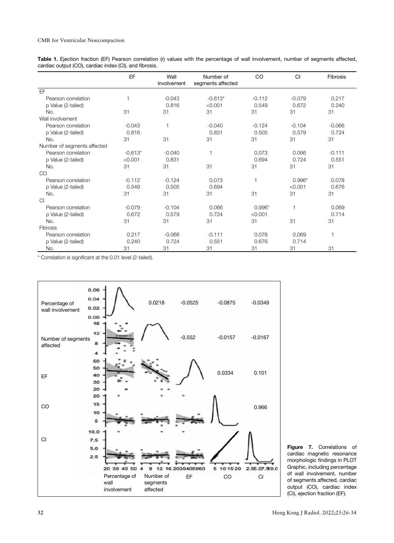| Table 1. Ejection fraction (EF) Pearson correlation (r) values with the percentage of wall involvement, number of segments affected, |  |  |  |  |
|--------------------------------------------------------------------------------------------------------------------------------------|--|--|--|--|
| cardiac output (CO), cardiac index (CI), and fibrosis.                                                                               |  |  |  |  |

|                             | EF        | Wall         | Number of         | CO             | CI           | Fibrosis     |
|-----------------------------|-----------|--------------|-------------------|----------------|--------------|--------------|
|                             |           | involvement  | segments affected |                |              |              |
| EF                          |           |              |                   |                |              |              |
| Pearson correlation         | 1         | $-0.043$     | $-0.613*$         | $-0.112$       | $-0.079$     | 0.217        |
| p Value (2-tailed)          |           | 0.816        | < 0.001           | 0.549          | 0.672        | 0.240        |
| No.                         | 31        | 31           | 31                | 31             | 31           | 31           |
| Wall involvement            |           |              |                   |                |              |              |
| Pearson correlation         | $-0.043$  | $\mathbf{1}$ | $-0.040$          | $-0.124$       | $-0.104$     | $-0.066$     |
| p Value (2-tailed)          | 0.816     |              | 0.831             | 0.505          | 0.579        | 0.724        |
| No.                         | 31        | 31           | 31                | 31             | 31           | 31           |
| Number of segments affected |           |              |                   |                |              |              |
| Pearson correlation         | $-0.613*$ | $-0.040$     | 1                 | 0.073          | 0.066        | $-0.111$     |
| p Value (2-tailed)          | < 0.001   | 0.831        |                   | 0.694          | 0.724        | 0.551        |
| No.                         | 31        | 31           | 31                | 31             | 31           | 31           |
| CO                          |           |              |                   |                |              |              |
| Pearson correlation         | $-0.112$  | $-0.124$     | 0.073             | $\overline{1}$ | $0.996*$     | 0.078        |
| p Value (2-tailed)          | 0.549     | 0.505        | 0.694             |                | < 0.001      | 0.676        |
| No.                         | 31        | 31           | 31                | 31             | 31           | 31           |
| Cl                          |           |              |                   |                |              |              |
| Pearson correlation         | $-0.079$  | $-0.104$     | 0.066             | $0.996*$       | $\mathbf{1}$ | 0.069        |
| p Value (2-tailed)          | 0.672     | 0.579        | 0.724             | < 0.001        |              | 0.714        |
| No.                         | 31        | 31           | 31                | 31             | 31           | 31           |
| Fibrosis                    |           |              |                   |                |              |              |
| Pearson correlation         | 0.217     | $-0.066$     | $-0.111$          | 0.078          | 0.069        | $\mathbf{1}$ |
| p Value (2-tailed)          | 0.240     | 0.724        | 0.551             | 0.676          | 0.714        |              |
| No.                         | 31        | 31           | 31                | 31             | 31           | 31           |

\* Correlation is significant at the 0.01 level (2-tailed).



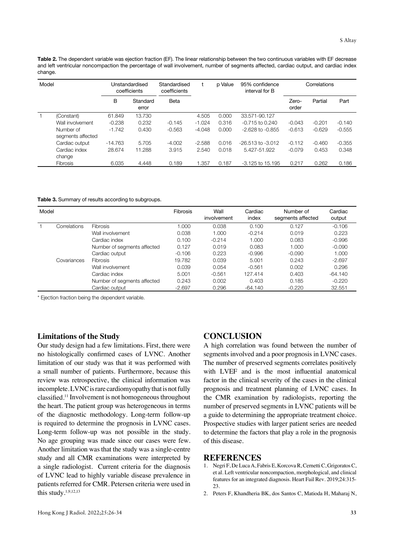**Table 2.** The dependent variable was ejection fraction (EF). The linear relationship between the two continuous variables with EF decrease and left ventricular noncompaction the percentage of wall involvement, number of segments affected, cardiac output, and cardiac index change.

| Model        |                                | Unstandardised<br>coefficients |                   | Standardised<br>coefficients |          | p Value | 95% confidence<br>interval for B | Correlations   |          |          |
|--------------|--------------------------------|--------------------------------|-------------------|------------------------------|----------|---------|----------------------------------|----------------|----------|----------|
|              |                                | в                              | Standard<br>error | Beta                         |          |         |                                  | Zero-<br>order | Partial  | Part     |
| $\mathbf{1}$ | (Constant)                     | 61.849                         | 13.730            |                              | 4.505    | 0.000   | 33.571-90.127                    |                |          |          |
|              | Wall involvement               | $-0.238$                       | 0.232             | $-0.145$                     | $-1.024$ | 0.316   | $-0.715$ to 0.240                | $-0.043$       | $-0.201$ | $-0.140$ |
|              | Number of<br>segments affected | $-1.742$                       | 0.430             | $-0.563$                     | $-4.048$ | 0.000   | $-2.628$ to $-0.855$             | $-0.613$       | $-0.629$ | $-0.555$ |
|              | Cardiac output                 | $-14.763$                      | 5.705             | $-4.002$                     | $-2.588$ | 0.016   | $-26.513$ to $-3.012$            | $-0.112$       | $-0.460$ | $-0.355$ |
|              | Cardiac index<br>change        | 28.674                         | 11.288            | 3.915                        | 2.540    | 0.018   | 5.427-51.922                     | $-0.079$       | 0.453    | 0.348    |
|              | <b>Fibrosis</b>                | 6.035                          | 4.448             | 0.189                        | 1.357    | 0.187   | $-3.125$ to $15.195$             | 0.217          | 0.262    | 0.186    |

**Table 3.** Summary of results according to subgroups.

| Model |              |                             | Fibrosis | Wall<br>involvement | Cardiac<br>index | Number of<br>segments affected | Cardiac<br>output |
|-------|--------------|-----------------------------|----------|---------------------|------------------|--------------------------------|-------------------|
|       | Correlations | <b>Fibrosis</b>             | 1.000    | 0.038               | 0.100            | 0.127                          | $-0.106$          |
|       |              | Wall involvement            | 0.038    | 1.000               | $-0.214$         | 0.019                          | 0.223             |
|       |              | Cardiac index               | 0.100    | $-0.214$            | 1.000            | 0.083                          | $-0.996$          |
|       |              | Number of segments affected | 0.127    | 0.019               | 0.083            | 1.000                          | $-0.090$          |
|       |              | Cardiac output              | $-0.106$ | 0.223               | $-0.996$         | $-0.090$                       | 1.000             |
|       | Covariances  | <b>Fibrosis</b>             | 19.782   | 0.039               | 5.001            | 0.243                          | $-2.697$          |
|       |              | Wall involvement            | 0.039    | 0.054               | $-0.561$         | 0.002                          | 0.296             |
|       |              | Cardiac index               | 5.001    | $-0.561$            | 127.414          | 0.403                          | $-64.140$         |
|       |              | Number of segments affected | 0.243    | 0.002               | 0.403            | 0.185                          | $-0.220$          |
|       |              | Cardiac output              | $-2.697$ | 0.296               | $-64.140$        | $-0.220$                       | 32.551            |

\* Ejection fraction being the dependent variable.

#### **Limitations of the Study**

Our study design had a few limitations. First, there were no histologically confirmed cases of LVNC. Another limitation of our study was that it was performed with a small number of patients. Furthermore, because this review was retrospective, the clinical information was incomplete. LVNC is rare cardiomyopathy that is not fully classified.11 Involvement is not homogeneous throughout the heart. The patient group was heterogeneous in terms of the diagnostic methodology. Long-term follow-up is required to determine the prognosis in LVNC cases. Long-term follow-up was not possible in the study. No age grouping was made since our cases were few. Another limitation was that the study was a single-centre study and all CMR examinations were interpreted by a single radiologist. Current criteria for the diagnosis of LVNC lead to highly variable disease prevalence in patients referred for CMR. Petersen criteria were used in this study. $1,9,12,13$ 

### **CONCLUSION**

A high correlation was found between the number of segments involved and a poor prognosis in LVNC cases. The number of preserved segments correlates positively with LVEF and is the most influential anatomical factor in the clinical severity of the cases in the clinical prognosis and treatment planning of LVNC cases. In the CMR examination by radiologists, reporting the number of preserved segments in LVNC patients will be a guide to determining the appropriate treatment choice. Prospective studies with larger patient series are needed to determine the factors that play a role in the prognosis of this disease.

#### **REFERENCES**

- 1. Negri F, De Luca A, Fabris E, Korcova R, Cernetti C, Grigoratos C, et al. Left ventricular noncompaction, morphological, and clinical features for an integrated diagnosis. Heart Fail Rev. 2019;24:315- 23.
- 2. Peters F, Khandheria BK, dos Santos C, Matioda H, Maharaj N,